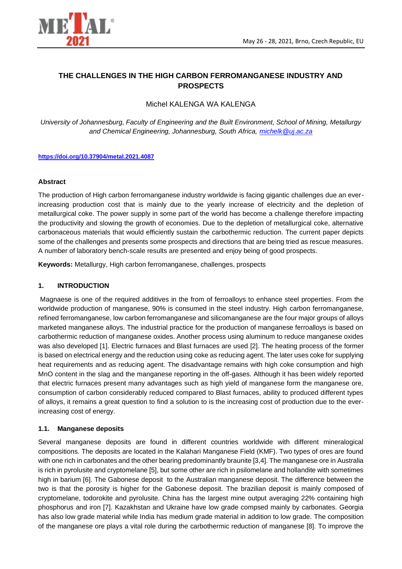

# **THE CHALLENGES IN THE HIGH CARBON FERROMANGANESE INDUSTRY AND PROSPECTS**

## Michel KALENGA WA KALENGA

*University of Johannesburg, Faculty of Engineering and the Built Environment, School of Mining, Metallurgy and Chemical Engineering, Johannesburg, South Africa, [michelk@uj.ac.za](mailto:michelk@uj.ac.za)*

#### **<https://doi.org/10.37904/metal.2021.4087>**

#### **Abstract**

The production of High carbon ferromanganese industry worldwide is facing gigantic challenges due an everincreasing production cost that is mainly due to the yearly increase of electricity and the depletion of metallurgical coke. The power supply in some part of the world has become a challenge therefore impacting the productivity and slowing the growth of economies. Due to the depletion of metallurgical coke, alternative carbonaceous materials that would efficiently sustain the carbothermic reduction. The current paper depicts some of the challenges and presents some prospects and directions that are being tried as rescue measures. A number of laboratory bench-scale results are presented and enjoy being of good prospects.

**Keywords:** Metallurgy, High carbon ferromanganese, challenges, prospects

### **1. INTRODUCTION**

Magnaese is one of the required additives in the from of ferroalloys to enhance steel properties. From the worldwide production of manganese, 90% is consumed in the steel industry. High carbon ferromanganese, refined ferromanganese, low carbon ferromanganese and silicomanganese are the four major groups of alloys marketed manganese alloys. The industrial practice for the production of manganese ferroalloys is based on carbothermic reduction of manganese oxides. Another process using aluminum to reduce manganese oxides was also developed [1]. Electric furnaces and Blast furnaces are used [2]. The heating process of the former is based on electrical energy and the reduction using coke as reducing agent. The later uses coke for supplying heat requirements and as reducing agent. The disadvantage remains with high coke consumption and high MnO content in the slag and the manganese reporting in the off-gases. Although it has been widely reported that electric furnaces present many advantages such as high yield of manganese form the manganese ore, consumption of carbon considerably reduced compared to Blast furnaces, ability to produced different types of alloys, it remains a great question to find a solution to is the increasing cost of production due to the everincreasing cost of energy.

### **1.1. Manganese deposits**

Several manganese deposits are found in different countries worldwide with different mineralogical compositions. The deposits are located in the Kalahari Manganese Field (KMF). Two types of ores are found with one rich in carbonates and the other bearing predominantly braunite [3,4]. The manganese ore in Australia is rich in pyrolusite and cryptomelane [5], but some other are rich in psilomelane and hollandite with sometimes high in barium [6]. The Gabonese deposit to the Australian manganese deposit. The difference between the two is that the porosity is higher for the Gabonese deposit. The brazilian deposit is mainly composed of cryptomelane, todorokite and pyrolusite. China has the largest mine output averaging 22% containing high phosphorus and iron [7]. Kazakhstan and Ukraine have low grade compsed mainly by carbonates. Georgia has also low grade material while India has medium grade material in addition to low grade. The composition of the manganese ore plays a vital role during the carbothermic reduction of manganese [8]. To improve the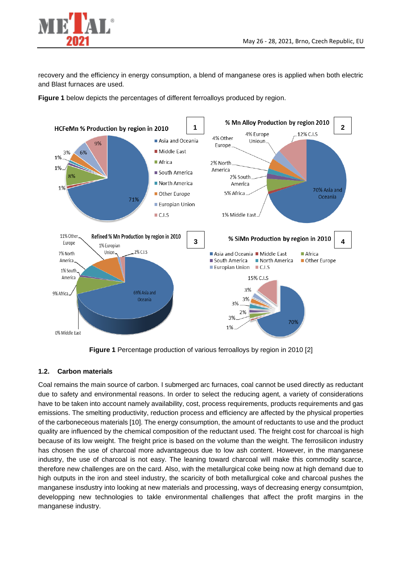

recovery and the efficiency in energy consumption, a blend of manganese ores is applied when both electric and Blast furnaces are used.

**Figure 1** below depicts the percentages of different ferroalloys produced by region.



**Figure 1** Percentage production of various ferroalloys by region in 2010 [2]

## **1.2. Carbon materials**

Coal remains the main source of carbon. I submerged arc furnaces, coal cannot be used directly as reductant due to safety and environmental reasons. In order to select the reducing agent, a variety of considerations have to be taken into account namely availability, cost, process requirements, products requirements and gas emissions. The smelting productivity, reduction process and efficiency are affected by the physical properties of the carboneceous materials [10]. The energy consumption, the amount of reductants to use and the product quality are influenced by the chemical composition of the reductant used. The freight cost for charcoal is high because of its low weight. The freight price is based on the volume than the weight. The ferrosilicon industry has chosen the use of charcoal more advantageous due to low ash content. However, in the manganese industry, the use of charcoal is not easy. The leaning toward charcoal will make this commodity scarce, therefore new challenges are on the card. Also, with the metallurgical coke being now at high demand due to high outputs in the iron and steel industry, the scaricity of both metallurgical coke and charcoal pushes the manganese insdustry into looking at new materials and processing, ways of decreasing energy consumtpion, developping new technologies to takle environmental challenges that affect the profit margins in the manganese industry.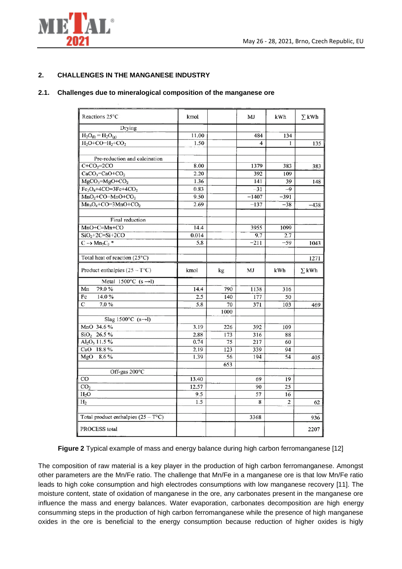

### **2. CHALLENGES IN THE MANGANESE INDUSTRY**

#### **2.1. Challenges due to mineralogical composition of the manganese ore**

| Reactions 25°C                         | kmol  |      | MJ      | <b>kWh</b>      | $\Sigma$ kWh |
|----------------------------------------|-------|------|---------|-----------------|--------------|
| Drying                                 |       |      |         |                 |              |
| $H_2O_{(1)} = H_2O_{(g)}$              | 11.00 |      | 484     | 134             |              |
| $H_2O+CO=H_2+CO_2$                     | 1.50  |      | 4       | Ł               | 135          |
| Pre-reduction and calcination          |       |      |         |                 |              |
| $C+CO2=2CO$                            | 8.00  |      | 1379    | 383             | 383          |
| $CaCO3=CaO+CO2$                        | 2.20  |      | 392     | 109             |              |
| MgCO <sub>3</sub> =MgO+CO <sub>2</sub> | 1.36  |      | 141     | 39              | 148          |
| $Fe3O4+4CO=3Fe+4CO2$                   | 0.83  |      | 31      | -9              |              |
| $MnO2+CO=MnO+CO2$                      | 9.50  |      | $-1407$ | $-391$          |              |
| $Mn_3O_4$ +CO=3MnO+CO <sub>2</sub>     | 2.69  |      | $-137$  | $-38$           | $-438$       |
| Final reduction                        |       |      |         |                 |              |
| $MnO+C=Mn+CO$                          | 14.4  |      | 3955    | 1099            |              |
| $SiO2+2C=Si+2CO$                       | 0.014 |      | 9.7     | 2.7             |              |
| $C \rightarrow Mn7C3$ *                | 5.8   |      | $-211$  | $-59$           | 1043         |
| Total heat of reaction (25°C)          |       |      |         |                 | 1271         |
| Product enthalpies $(25 - T^{\circ}C)$ | kmol  | kg   | MJ      | kWh             | $\Sigma$ kWh |
| Metal $1500^{\circ}$ C (s ->1)         |       |      |         |                 |              |
| 79.0%<br>Mn                            | 14.4  | 790  | 1138    | 316             |              |
| Fc<br>14.0%                            | 2.5   | 140  | 177     | 50              |              |
| $\overline{c}$<br>7.0%                 | 5.8   | 70   | 371     | 103             | 469          |
|                                        |       | 1000 |         |                 |              |
| Slag 1500 $°C$ (s-1)                   |       |      |         |                 |              |
| MnO 34.6%                              | 3.19  | 226  | 392     | 109             |              |
| $SiO2$ 26.5 %                          | 2.88  | 173  | 316     | 88              |              |
| $Al_2O_3$ 11.5%                        | 0.74  | 75   | 217     | 60              |              |
| CaO 18.8 %                             | 2.19  | 123  | 339     | 94              |              |
| MgO<br>8.6%                            | 1.39  | 56   | 194     | 54              | 405          |
|                                        |       | 653  |         |                 |              |
| Off-gas 200°C                          |       |      |         |                 |              |
| CO                                     | 13.40 |      | 69      | 19              |              |
| CO <sub>2</sub>                        | 12.57 |      | 90      | $\overline{25}$ |              |
| H <sub>2</sub> O                       | 9.5   |      | 57      | 16              |              |
| H <sub>2</sub>                         | 1.5   |      | 8       | 2               | 62           |
| Total product enthalpies $(25 - ToC)$  |       |      | 3368    |                 | 936          |
| PROCESS total                          |       |      |         |                 | 2207         |

**Figure 2** Typical example of mass and energy balance during high carbon ferromanganese [12]

The composition of raw material is a key player in the production of high carbon ferromanganese. Amongst other parameters are the Mn/Fe ratio. The challenge that Mn/Fe in a manganese ore is that low Mn/Fe ratio leads to high coke consumption and high electrodes consumptions with low manganese recovery [11]. The moisture content, state of oxidation of manganese in the ore, any carbonates present in the manganese ore influence the mass and energy balances. Water evaporation, carbonates decomposition are high energy consumming steps in the production of high carbon ferromanganese while the presence of high manganese oxides in the ore is beneficial to the energy consumption because reduction of higher oxides is higly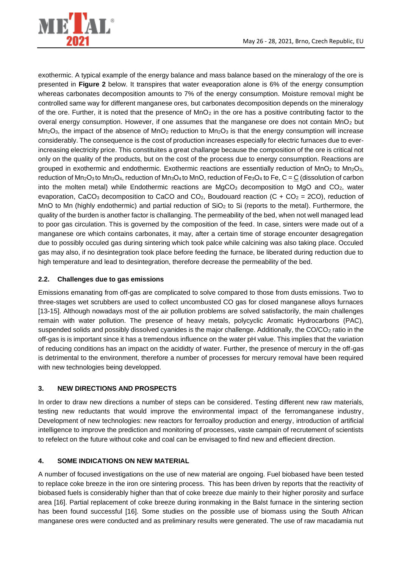

exothermic. A typical example of the energy balance and mass balance based on the mineralogy of the ore is presented in **Figure 2** below. It transpires that water eveaporation alone is 6% of the energy consumption whereas carbonates decomposition amounts to 7% of the energy consumption. Moisture removal might be controlled same way for different manganese ores, but carbonates decomposition depends on the mineralogy of the ore. Further, it is noted that the presence of  $MnO<sub>2</sub>$  in the ore has a positive contributing factor to the overal energy consumption. However, if one assumes that the manganese ore does not contain MnO<sub>2</sub> but  $Mn_2O_3$ , the impact of the absence of  $MnO_2$  reduction to  $Mn_2O_3$  is that the energy consumption will increase considerably. The consequence is the cost of production increases especially for electric furnaces due to everincreasing electricity price. This constituites a great challange because the composition of the ore is critical not only on the quality of the products, but on the cost of the process due to energy consumption. Reactions are grouped in exothermic and endothermic. Exothermic reactions are essentially reduction of  $MnO<sub>2</sub>$  to  $Mn<sub>2</sub>O<sub>3</sub>$ , reduction of Mn2O3 to Mn3O4, reduction of Mn3O4 to MnO, reduction of Fe3O<sup>4</sup> to Fe, C = C (dissolution of carbon into the molten metal) while Endothermic reactions are  $MgCO<sub>3</sub>$  decomposition to  $MgO$  and  $CO<sub>2</sub>$ , water evaporation, CaCO<sub>3</sub> decomposition to CaCO and CO<sub>2</sub>, Boudouard reaction (C + CO<sub>2</sub> = 2CO), reduction of MnO to Mn (highly endothermic) and partial reduction of  $SiO<sub>2</sub>$  to Si (reports to the metal). Furthermore, the quality of the burden is another factor is challanging. The permeability of the bed, when not well managed lead to poor gas circulation. This is governed by the composition of the feed. In case, sinters were made out of a manganese ore which contains carbonates, it may, after a certain time of storage encounter desagregation due to possibly occuled gas during sintering which took palce while calcining was also taking place. Occuled gas may also, if no desintegration took place before feeding the furnace, be liberated during reduction due to high temperature and lead to desintegration, therefore decrease the permeability of the bed.

### **2.2. Challenges due to gas emissions**

Emissions emanating from off-gas are complicated to solve compared to those from dusts emissions. Two to three-stages wet scrubbers are used to collect uncombusted CO gas for closed manganese alloys furnaces [13-15]. Although nowadays most of the air pollution problems are solved satisfactorily, the main challenges remain with water pollution. The presence of heavy metals, polycyclic Aromatic Hydrocarbons (PAC), suspended solids and possibly dissolved cyanides is the major challenge. Additionally, the CO/CO<sub>2</sub> ratio in the off-gas is is important since it has a tremendous influence on the water pH value. This implies that the variation of reducing conditions has an impact on the acididty of water. Further, the presence of mercury in the off-gas is detrimental to the environment, therefore a number of processes for mercury removal have been required with new technologies being developped.

### **3. NEW DIRECTIONS AND PROSPECTS**

In order to draw new directions a number of steps can be considered. Testing different new raw materials, testing new reductants that would improve the environmental impact of the ferromanganese industry, Development of new technologies: new reactors for ferroalloy production and energy, introduction of artificial intelligence to improve the prediction and monitoring of processes, vaste campain of recrutement of scientists to refelect on the future without coke and coal can be envisaged to find new and effiecient direction.

### **4. SOME INDICATIONS ON NEW MATERIAL**

A number of focused investigations on the use of new material are ongoing. Fuel biobased have been tested to replace coke breeze in the iron ore sintering process. This has been driven by reports that the reactivity of biobased fuels is considerably higher than that of coke breeze due mainly to their higher porosity and surface area [16]. Partial replacement of coke breeze during ironmaking in the Balst furnace in the sintering section has been found successful [16]. Some studies on the possible use of biomass using the South African manganese ores were conducted and as preliminary results were generated. The use of raw macadamia nut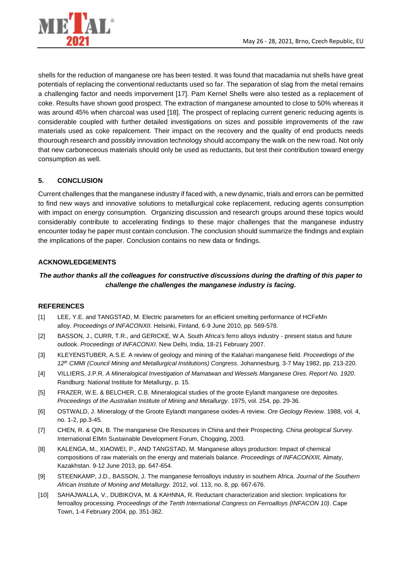

shells for the reduction of manganese ore has been tested. It was found that macadamia nut shells have great potentials of replacing the conventional reductants used so far. The separation of slag from the metal remains a challenging factor and needs imporvement [17]. Pam Kernel Shells were also tested as a replacement of coke. Results have shown good prospect. The extraction of manganese amounted to close to 50% whereas it was around 45% when charcoal was used [18]. The prospect of replacing current generic reducing agents is considerable coupled with further detailed investigations on sizes and possible improvements of the raw materials used as coke repalcement. Their impact on the recovery and the quality of end products needs thourough research and possibly innovation technology should accompany the walk on the new road. Not only that new carboneceous materials should only be used as reductants, but test their contribution toward energy consumption as well.

## **5. CONCLUSION**

Current challenges that the manganese industry if faced with, a new dynamic, trials and errors can be permitted to find new ways and innovative solutions to metallurgical coke replacement, reducing agents consumption with impact on energy consumption. Organizing discussion and research groups around these topics would considerably contribute to accelerating findings to these major challenges that the manganese industry encounter today he paper must contain conclusion. The conclusion should summarize the findings and explain the implications of the paper. Conclusion contains no new data or findings.

### **ACKNOWLEDGEMENTS**

## *The author thanks all the colleagues for constructive discussions during the drafting of this paper to challenge the challenges the manganese industry is facing.*

### **REFERENCES**

- [1] LEE, Y.E. and TANGSTAD, M. Electric parameters for an efficient smelting performance of HCFeMn alloy. *Proceedings of INFACONXII.* Helsinki, Finland, 6-9 June 2010, pp. 569-578.
- [2] BASSON, J., CURR, T.R., and GERICKE, W.A. South Africa's ferro alloys industry present status and future outlook. *Proceedings of INFACONXI.* New Delhi, India, 18-21 February 2007.
- [3] KLEYENSTUBER, A.S.E. A review of geology and mining of the Kalahari manganese field. *Proceedings of the 12th CMMI (Council Mining and Metallurgical Institutions) Congress.* Johannesburg, 3-7 May 1982, pp. 213-220.
- [4] VILLIERS, J.P.R. *A Mineralogical Investigation of Mamatwan and Wessels Manganese Ores. Report No. 1920*. Randburg: National Institute for Metallurgy, p. 15.
- [5] FRAZER, W.E. & BELCHER, C.B. Mineralogical studies of the groote Eylandt manganese ore deposites. *Proceedings of the Australian Institute of Mining and Metallurgy*. 1975, vol. 254, pp. 29-36.
- [6] OSTWALD, J. Mineralogy of the Groote Eylandt manganese oxides-A review. *Ore Geology Review.* 1988, vol. 4, no. 1-2, pp.3-45.
- [7] CHEN, R. & QIN, B. The manganese Ore Resources in China and their Prospecting. *China geological Survey.*  International EIMn Sustainable Development Forum, Chogqing, 2003.
- [8] KALENGA, M., XIAOWEI, P., AND TANGSTAD, M. Manganese alloys production: Impact of chemical compositions of raw materials on the energy and materials balance. *Proceedings of INFACONXIII,* Almaty, Kazakhstan. 9-12 June 2013, pp. 647-654.
- [9] STEENKAMP, J.D., BASSON, J. The manganese ferroalloys industry in southern Africa. *Journal of the Southern African Institute of Moning and Metallurgy.* 2012, vol. 113, no. 8, pp. 667-676.
- [10] SAHAJWALLA, V., DUBIKOVA, M. & KAHNNA, R. Reductant characterization and slection: Implications for ferroalloy processing. *Proceedings of the Tenth International Congress on Ferroalloys (INFACON 10)*. Cape Town, 1-4 February 2004, pp. 351-362.